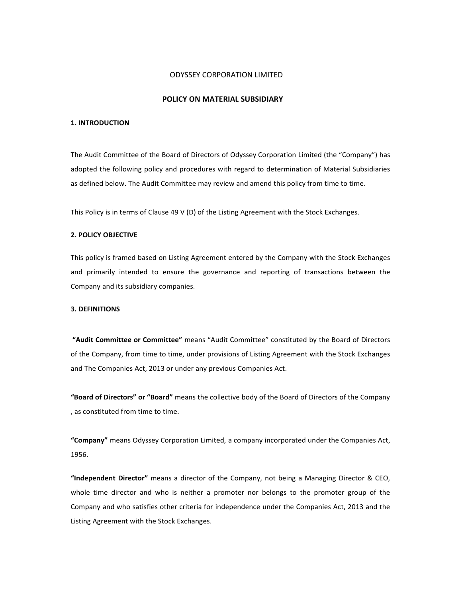## ODYSSEY CORPORATION LIMITED

# **POLICY ON MATERIAL SUBSIDIARY POLICY ON MIAL SUBSIDIARIES**

## **1. INTRODUCTION**

The Audit Committee of the Board of Directors of Odyssey Corporation Limited (the "Company") has adopted the following policy and procedures with regard to determination of Material Subsidiaries as defined below. The Audit Committee may review and amend this policy from time to time.

This Policy is in terms of Clause 49 V (D) of the Listing Agreement with the Stock Exchanges.

## **2. POLICY OBJECTIVE**

This policy is framed based on Listing Agreement entered by the Company with the Stock Exchanges and primarily intended to ensure the governance and reporting of transactions between the Company and its subsidiary companies.

#### **3. DEFINITIONS**

**"Audit Committee or Committee"** means "Audit Committee" constituted by the Board of Directors of the Company, from time to time, under provisions of Listing Agreement with the Stock Exchanges and The Companies Act, 2013 or under any previous Companies Act.

**"Board of Directors" or "Board"** means the collective body of the Board of Directors of the Company , as constituted from time to time.

**"Company"** means Odyssey Corporation Limited, a company incorporated under the Companies Act, 1956.

**"Independent Director"** means a director of the Company, not being a Managing Director & CEO, whole time director and who is neither a promoter nor belongs to the promoter group of the Company and who satisfies other criteria for independence under the Companies Act, 2013 and the Listing Agreement with the Stock Exchanges.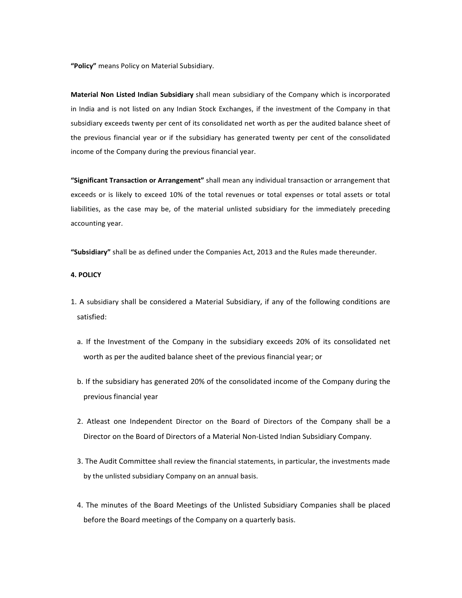**"Policy"** means Policy on Material Subsidiary.

**Material Non Listed Indian Subsidiary** shall mean subsidiary of the Company which is incorporated in India and is not listed on any Indian Stock Exchanges, if the investment of the Company in that subsidiary exceeds twenty per cent of its consolidated net worth as per the audited balance sheet of the previous financial year or if the subsidiary has generated twenty per cent of the consolidated income of the Company during the previous financial year.

**"Significant Transaction or Arrangement"** shall mean any individual transaction or arrangement that exceeds or is likely to exceed 10% of the total revenues or total expenses or total assets or total liabilities, as the case may be, of the material unlisted subsidiary for the immediately preceding accounting year.

**"Subsidiary"** shall be as defined under the Companies Act, 2013 and the Rules made thereunder.

### **4. POLICY**

- 1. A subsidiary shall be considered a Material Subsidiary, if any of the following conditions are satisfied:
	- a. If the Investment of the Company in the subsidiary exceeds 20% of its consolidated net worth as per the audited balance sheet of the previous financial year; or
	- b. If the subsidiary has generated 20% of the consolidated income of the Company during the previous financial year
	- 2. Atleast one Independent Director on the Board of Directors of the Company shall be a Director on the Board of Directors of a Material Non‐Listed Indian Subsidiary Company.
	- 3. The Audit Committee shall review the financial statements, in particular, the investments made by the unlisted subsidiary Company on an annual basis.
	- 4. The minutes of the Board Meetings of the Unlisted Subsidiary Companies shall be placed before the Board meetings of the Company on a quarterly basis.